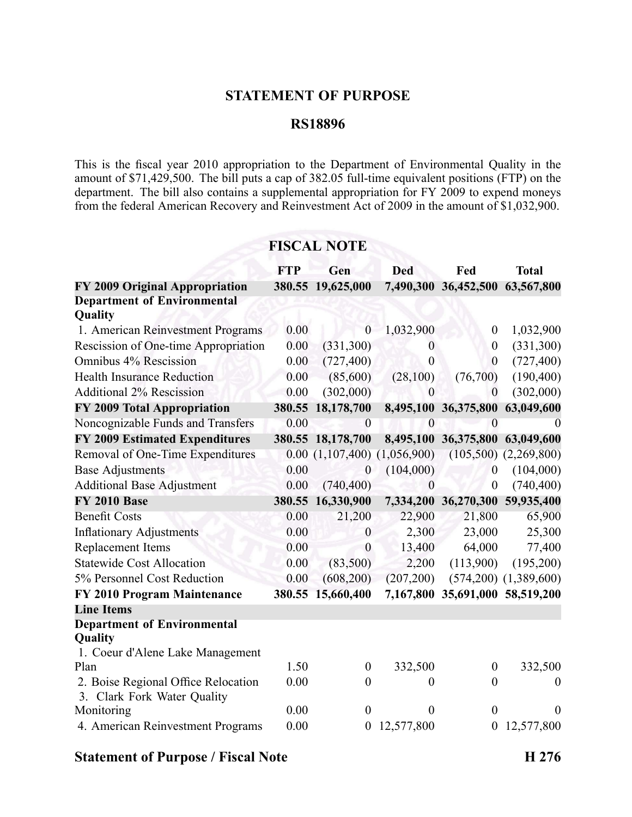### **STATEMENT OF PURPOSE**

### **RS18896**

This is the fiscal year 2010 appropriation to the Department of Environmental Quality in the amount of  $$71,429,500$ . The bill puts a cap of  $382.05$  full-time equivalent positions (FTP) on the department. The bill also contains <sup>a</sup> supplemental appropriation for FY 2009 to expend moneys from the federal American Recovery and Reinvestment Act of 2009 in the amount of \$1,032,900.

## **FISCAL NOTE**

|                                                                                   | <b>FTP</b> | Gen               | <b>Ded</b>       | Fed                             | <b>Total</b>              |
|-----------------------------------------------------------------------------------|------------|-------------------|------------------|---------------------------------|---------------------------|
| FY 2009 Original Appropriation                                                    |            | 380.55 19,625,000 |                  | 7,490,300 36,452,500            | 63,567,800                |
| <b>Department of Environmental</b><br>Quality                                     |            |                   |                  |                                 |                           |
| 1. American Reinvestment Programs                                                 | 0.00       | $\theta$          | 1,032,900        | $\boldsymbol{0}$                | 1,032,900                 |
| Rescission of One-time Appropriation                                              | 0.00       | (331,300)         | $\theta$         | $\boldsymbol{0}$                | (331,300)                 |
| Omnibus 4% Rescission                                                             | 0.00       | (727, 400)        | $\boldsymbol{0}$ | $\overline{0}$                  | (727, 400)                |
| <b>Health Insurance Reduction</b>                                                 | 0.00       | (85,600)          | (28,100)         | (76,700)                        | (190, 400)                |
| <b>Additional 2% Rescission</b>                                                   | 0.00       | (302,000)         | $\overline{0}$   | $\overline{0}$                  | (302,000)                 |
| FY 2009 Total Appropriation                                                       | 380.55     | 18,178,700        |                  | 8,495,100 36,375,800            | 63,049,600                |
| Noncognizable Funds and Transfers                                                 | 0.00       | $\overline{0}$    | $\overline{0}$   | $\theta$                        |                           |
| <b>FY 2009 Estimated Expenditures</b>                                             | 380.55     | 18,178,700        |                  | 8,495,100 36,375,800            | 63,049,600                |
| Removal of One-Time Expenditures                                                  | 0.00       | (1,107,400)       | (1,056,900)      |                                 | $(105,500)$ $(2,269,800)$ |
| <b>Base Adjustments</b>                                                           | 0.00       | $\overline{0}$    | (104,000)        | $\overline{0}$                  | (104,000)                 |
| <b>Additional Base Adjustment</b>                                                 | 0.00       | (740, 400)        | $\theta$         | $\boldsymbol{0}$                | (740, 400)                |
| <b>FY 2010 Base</b>                                                               | 380.55     | 16,330,900        |                  | 7,334,200 36,270,300            | 59,935,400                |
| <b>Benefit Costs</b>                                                              | 0.00       | 21,200            | 22,900           | 21,800                          | 65,900                    |
| <b>Inflationary Adjustments</b>                                                   | 0.00       | $\boldsymbol{0}$  | 2,300            | 23,000                          | 25,300                    |
| Replacement Items                                                                 | 0.00       | $\boldsymbol{0}$  | 13,400           | 64,000                          | 77,400                    |
| <b>Statewide Cost Allocation</b>                                                  | 0.00       | (83,500)          | 2,200            | (113,900)                       | (195,200)                 |
| 5% Personnel Cost Reduction                                                       | 0.00       | (608, 200)        | (207, 200)       |                                 | $(574,200)$ $(1,389,600)$ |
| FY 2010 Program Maintenance                                                       | 380.55     | 15,660,400        |                  | 7,167,800 35,691,000 58,519,200 |                           |
| <b>Line Items</b>                                                                 |            |                   |                  |                                 |                           |
| <b>Department of Environmental</b><br>Quality<br>1. Coeur d'Alene Lake Management |            |                   |                  |                                 |                           |
| Plan                                                                              | 1.50       | $\theta$          | 332,500          | $\boldsymbol{0}$                | 332,500                   |
| 2. Boise Regional Office Relocation<br>3. Clark Fork Water Quality                | 0.00       | $\theta$          | $\boldsymbol{0}$ | $\boldsymbol{0}$                | $\theta$                  |
| Monitoring                                                                        | 0.00       | $\theta$          | 0                | $\overline{0}$                  | $\theta$                  |
| 4. American Reinvestment Programs                                                 | 0.00       | $\overline{0}$    | 12,577,800       | $\theta$                        | 12,577,800                |

### **Statement of Purpose / Fiscal Note H 276**